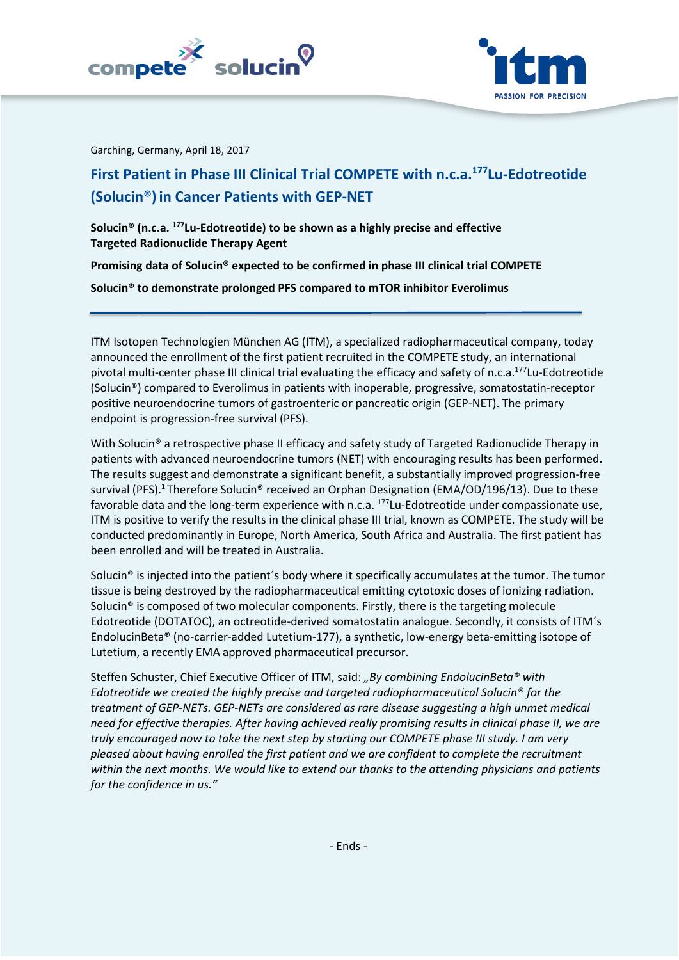



Garching, Germany, April 18, 2017

# **First Patient in Phase III Clinical Trial COMPETE with n.c.a.<sup>177</sup>Lu-Edotreotide (Solucin®) in Cancer Patients with GEP-NET**

**Solucin® (n.c.a. <sup>177</sup>Lu-Edotreotide) to be shown as a highly precise and effective Targeted Radionuclide Therapy Agent**

**Promising data of Solucin® expected to be confirmed in phase III clinical trial COMPETE**

**Solucin® to demonstrate prolonged PFS compared to mTOR inhibitor Everolimus**

ITM Isotopen Technologien München AG (ITM), a specialized radiopharmaceutical company, today announced the enrollment of the first patient recruited in the COMPETE study, an international pivotal multi-center phase III clinical trial evaluating the efficacy and safety of n.c.a.<sup>177</sup>Lu-Edotreotide (Solucin®) compared to Everolimus in patients with inoperable, progressive, somatostatin-receptor positive neuroendocrine tumors of gastroenteric or pancreatic origin (GEP-NET). The primary endpoint is progression-free survival (PFS).

With Solucin<sup>®</sup> a retrospective phase II efficacy and safety study of Targeted Radionuclide Therapy in patients with advanced neuroendocrine tumors (NET) with encouraging results has been performed. The results suggest and demonstrate a significant benefit, a substantially improved progression-free survival (PFS).<sup>1</sup> Therefore Solucin® received an Orphan Designation (EMA/OD/196/13). Due to these favorable data and the long-term experience with n.c.a.  $177$ Lu-Edotreotide under compassionate use, ITM is positive to verify the results in the clinical phase III trial, known as COMPETE. The study will be conducted predominantly in Europe, North America, South Africa and Australia. The first patient has been enrolled and will be treated in Australia.

Solucin® is injected into the patient´s body where it specifically accumulates at the tumor. The tumor tissue is being destroyed by the radiopharmaceutical emitting cytotoxic doses of ionizing radiation. Solucin® is composed of two molecular components. Firstly, there is the targeting molecule Edotreotide (DOTATOC), an octreotide-derived somatostatin analogue. Secondly, it consists of ITM´s EndolucinBeta® (no-carrier-added Lutetium-177), a synthetic, low-energy beta-emitting isotope of Lutetium, a recently EMA approved pharmaceutical precursor.

Steffen Schuster, Chief Executive Officer of ITM, said: *"By combining EndolucinBeta® with Edotreotide we created the highly precise and targeted radiopharmaceutical Solucin® for the treatment of GEP-NETs. GEP-NETs are considered as rare disease suggesting a high unmet medical need for effective therapies. After having achieved really promising results in clinical phase II, we are truly encouraged now to take the next step by starting our COMPETE phase III study. I am very pleased about having enrolled the first patient and we are confident to complete the recruitment within the next months. We would like to extend our thanks to the attending physicians and patients for the confidence in us."*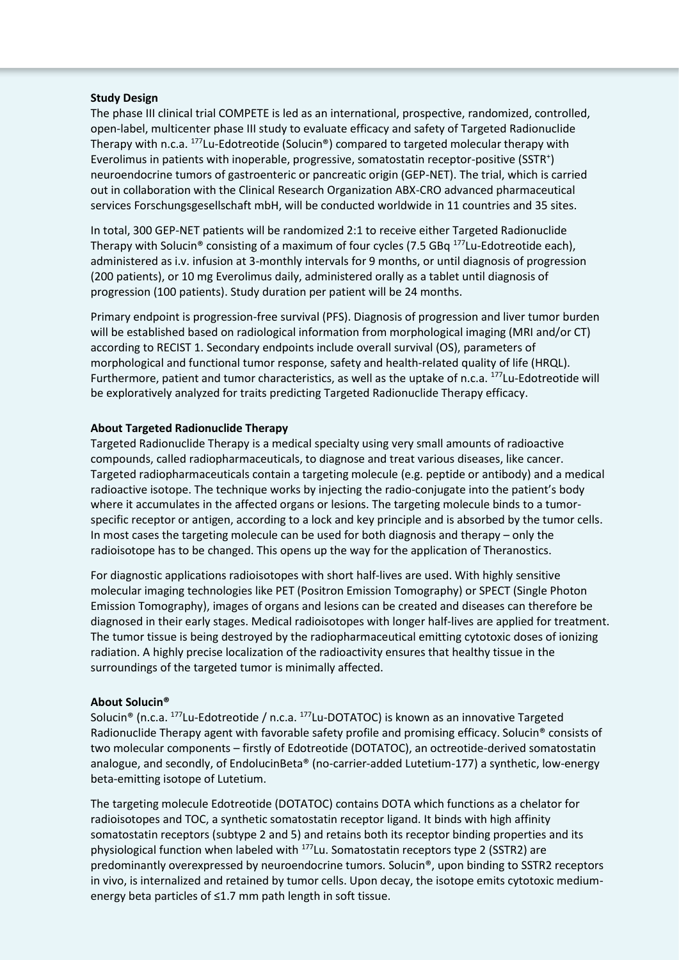#### **Study Design**

The phase III clinical trial COMPETE is led as an international, prospective, randomized, controlled, open-label, multicenter phase III study to evaluate efficacy and safety of Targeted Radionuclide Therapy with n.c.a.  $177$ Lu-Edotreotide (Solucin®) compared to targeted molecular therapy with Everolimus in patients with inoperable, progressive, somatostatin receptor-positive (SSTR<sup>+</sup>) neuroendocrine tumors of gastroenteric or pancreatic origin (GEP-NET). The trial, which is carried out in collaboration with the Clinical Research Organization ABX-CRO advanced pharmaceutical services Forschungsgesellschaft mbH, will be conducted worldwide in 11 countries and 35 sites.

In total, 300 GEP-NET patients will be randomized 2:1 to receive either Targeted Radionuclide Therapy with Solucin® consisting of a maximum of four cycles (7.5 GBq  $^{177}$ Lu-Edotreotide each), administered as i.v. infusion at 3-monthly intervals for 9 months, or until diagnosis of progression (200 patients), or 10 mg Everolimus daily, administered orally as a tablet until diagnosis of progression (100 patients). Study duration per patient will be 24 months.

Primary endpoint is progression-free survival (PFS). Diagnosis of progression and liver tumor burden will be established based on radiological information from morphological imaging (MRI and/or CT) according to RECIST 1. Secondary endpoints include overall survival (OS), parameters of morphological and functional tumor response, safety and health-related quality of life (HRQL). Furthermore, patient and tumor characteristics, as well as the uptake of n.c.a. <sup>177</sup>Lu-Edotreotide will be exploratively analyzed for traits predicting Targeted Radionuclide Therapy efficacy.

# **About Targeted Radionuclide Therapy**

Targeted Radionuclide Therapy is a medical specialty using very small amounts of radioactive compounds, called radiopharmaceuticals, to diagnose and treat various diseases, like cancer. Targeted radiopharmaceuticals contain a targeting molecule (e.g. peptide or antibody) and a medical radioactive isotope. The technique works by injecting the radio-conjugate into the patient's body where it accumulates in the affected organs or lesions. The targeting molecule binds to a tumorspecific receptor or antigen, according to a lock and key principle and is absorbed by the tumor cells. In most cases the targeting molecule can be used for both diagnosis and therapy – only the radioisotope has to be changed. This opens up the way for the application of Theranostics.

For diagnostic applications radioisotopes with short half-lives are used. With highly sensitive molecular imaging technologies like PET (Positron Emission Tomography) or SPECT (Single Photon Emission Tomography), images of organs and lesions can be created and diseases can therefore be diagnosed in their early stages. Medical radioisotopes with longer half-lives are applied for treatment. The tumor tissue is being destroyed by the radiopharmaceutical emitting cytotoxic doses of ionizing radiation. A highly precise localization of the radioactivity ensures that healthy tissue in the surroundings of the targeted tumor is minimally affected.

# **About Solucin®**

Solucin<sup>®</sup> (n.c.a. <sup>177</sup>Lu-Edotreotide / n.c.a. <sup>177</sup>Lu-DOTATOC) is known as an innovative Targeted Radionuclide Therapy agent with favorable safety profile and promising efficacy. Solucin® consists of two molecular components – firstly of Edotreotide (DOTATOC), an octreotide-derived somatostatin analogue, and secondly, of EndolucinBeta® (no-carrier-added Lutetium-177) a synthetic, low-energy beta-emitting isotope of Lutetium.

The targeting molecule Edotreotide (DOTATOC) contains DOTA which functions as a chelator for radioisotopes and TOC, a synthetic somatostatin receptor ligand. It binds with high affinity somatostatin receptors (subtype 2 and 5) and retains both its receptor binding properties and its physiological function when labeled with <sup>177</sup>Lu. Somatostatin receptors type 2 (SSTR2) are predominantly overexpressed by neuroendocrine tumors. Solucin®, upon binding to SSTR2 receptors in vivo, is internalized and retained by tumor cells. Upon decay, the isotope emits cytotoxic mediumenergy beta particles of ≤1.7 mm path length in soft tissue.